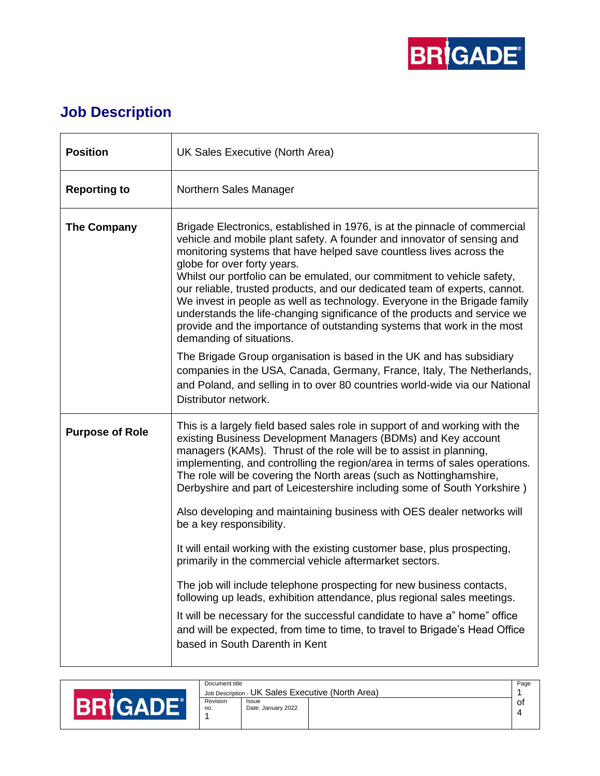

## **Job Description**

| <b>Position</b>        | UK Sales Executive (North Area)                                                                                                                                                                                                                                                                                                                                                                                                                                                                                                                                                                                                                                                       |  |  |
|------------------------|---------------------------------------------------------------------------------------------------------------------------------------------------------------------------------------------------------------------------------------------------------------------------------------------------------------------------------------------------------------------------------------------------------------------------------------------------------------------------------------------------------------------------------------------------------------------------------------------------------------------------------------------------------------------------------------|--|--|
| <b>Reporting to</b>    | Northern Sales Manager                                                                                                                                                                                                                                                                                                                                                                                                                                                                                                                                                                                                                                                                |  |  |
| <b>The Company</b>     | Brigade Electronics, established in 1976, is at the pinnacle of commercial<br>vehicle and mobile plant safety. A founder and innovator of sensing and<br>monitoring systems that have helped save countless lives across the<br>globe for over forty years.<br>Whilst our portfolio can be emulated, our commitment to vehicle safety,<br>our reliable, trusted products, and our dedicated team of experts, cannot.<br>We invest in people as well as technology. Everyone in the Brigade family<br>understands the life-changing significance of the products and service we<br>provide and the importance of outstanding systems that work in the most<br>demanding of situations. |  |  |
|                        | The Brigade Group organisation is based in the UK and has subsidiary<br>companies in the USA, Canada, Germany, France, Italy, The Netherlands,<br>and Poland, and selling in to over 80 countries world-wide via our National<br>Distributor network.                                                                                                                                                                                                                                                                                                                                                                                                                                 |  |  |
| <b>Purpose of Role</b> | This is a largely field based sales role in support of and working with the<br>existing Business Development Managers (BDMs) and Key account<br>managers (KAMs). Thrust of the role will be to assist in planning,<br>implementing, and controlling the region/area in terms of sales operations.<br>The role will be covering the North areas (such as Nottinghamshire,<br>Derbyshire and part of Leicestershire including some of South Yorkshire)                                                                                                                                                                                                                                  |  |  |
|                        | Also developing and maintaining business with OES dealer networks will<br>be a key responsibility.                                                                                                                                                                                                                                                                                                                                                                                                                                                                                                                                                                                    |  |  |
|                        | It will entail working with the existing customer base, plus prospecting,<br>primarily in the commercial vehicle aftermarket sectors.                                                                                                                                                                                                                                                                                                                                                                                                                                                                                                                                                 |  |  |
|                        | The job will include telephone prospecting for new business contacts,<br>following up leads, exhibition attendance, plus regional sales meetings.                                                                                                                                                                                                                                                                                                                                                                                                                                                                                                                                     |  |  |
|                        | It will be necessary for the successful candidate to have a" home" office<br>and will be expected, from time to time, to travel to Brigade's Head Office<br>based in South Darenth in Kent                                                                                                                                                                                                                                                                                                                                                                                                                                                                                            |  |  |

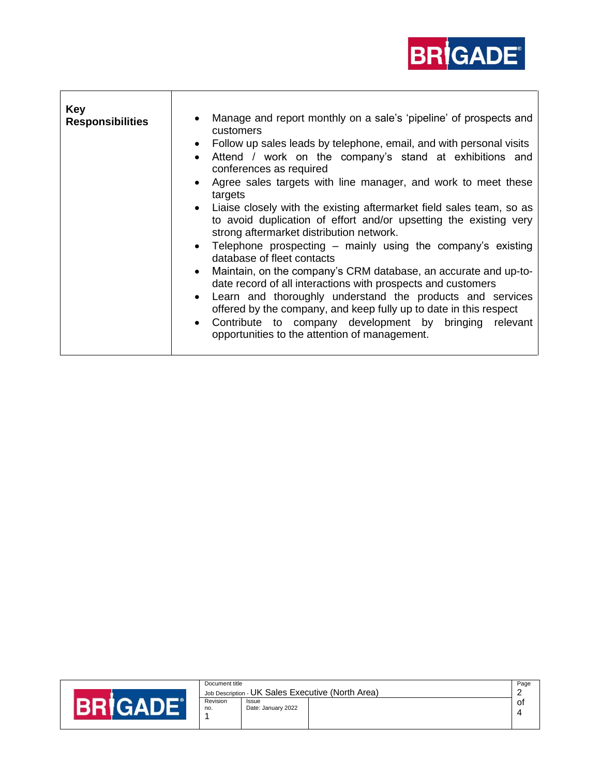

| Key<br><b>Responsibilities</b> | Manage and report monthly on a sale's 'pipeline' of prospects and<br>$\bullet$<br>customers<br>Follow up sales leads by telephone, email, and with personal visits<br>$\bullet$<br>Attend / work on the company's stand at exhibitions and<br>$\bullet$<br>conferences as required<br>Agree sales targets with line manager, and work to meet these<br>$\bullet$<br>targets<br>• Liaise closely with the existing aftermarket field sales team, so as<br>to avoid duplication of effort and/or upsetting the existing very<br>strong aftermarket distribution network.<br>• Telephone prospecting – mainly using the company's existing<br>database of fleet contacts<br>Maintain, on the company's CRM database, an accurate and up-to-<br>$\bullet$<br>date record of all interactions with prospects and customers<br>Learn and thoroughly understand the products and services<br>$\bullet$<br>offered by the company, and keep fully up to date in this respect<br>Contribute to company development by bringing relevant<br>$\bullet$<br>opportunities to the attention of management. |
|--------------------------------|----------------------------------------------------------------------------------------------------------------------------------------------------------------------------------------------------------------------------------------------------------------------------------------------------------------------------------------------------------------------------------------------------------------------------------------------------------------------------------------------------------------------------------------------------------------------------------------------------------------------------------------------------------------------------------------------------------------------------------------------------------------------------------------------------------------------------------------------------------------------------------------------------------------------------------------------------------------------------------------------------------------------------------------------------------------------------------------------|
|                                |                                                                                                                                                                                                                                                                                                                                                                                                                                                                                                                                                                                                                                                                                                                                                                                                                                                                                                                                                                                                                                                                                              |

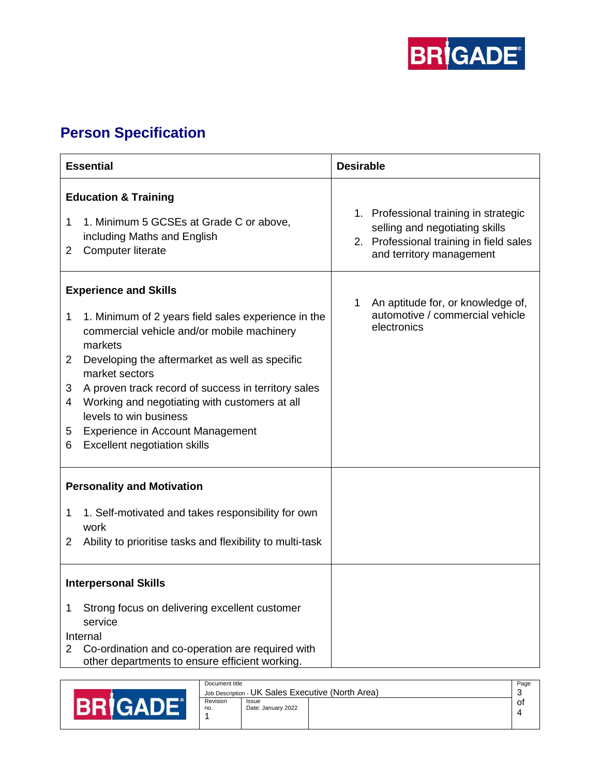

## **Person Specification**

| <b>Essential</b>                  |                                                                                                                                                                                                                                                                                                                                                                                                                               | <b>Desirable</b> |                                                                                                                                                |
|-----------------------------------|-------------------------------------------------------------------------------------------------------------------------------------------------------------------------------------------------------------------------------------------------------------------------------------------------------------------------------------------------------------------------------------------------------------------------------|------------------|------------------------------------------------------------------------------------------------------------------------------------------------|
| 1<br>2                            | <b>Education &amp; Training</b><br>1. Minimum 5 GCSEs at Grade C or above,<br>including Maths and English<br>Computer literate                                                                                                                                                                                                                                                                                                |                  | 1. Professional training in strategic<br>selling and negotiating skills<br>2. Professional training in field sales<br>and territory management |
| 1<br>2<br>3<br>4<br>5<br>6        | <b>Experience and Skills</b><br>1. Minimum of 2 years field sales experience in the<br>commercial vehicle and/or mobile machinery<br>markets<br>Developing the aftermarket as well as specific<br>market sectors<br>A proven track record of success in territory sales<br>Working and negotiating with customers at all<br>levels to win business<br>Experience in Account Management<br><b>Excellent negotiation skills</b> | 1                | An aptitude for, or knowledge of,<br>automotive / commercial vehicle<br>electronics                                                            |
| <b>Personality and Motivation</b> |                                                                                                                                                                                                                                                                                                                                                                                                                               |                  |                                                                                                                                                |
| 1<br>2                            | 1. Self-motivated and takes responsibility for own<br>work<br>Ability to prioritise tasks and flexibility to multi-task                                                                                                                                                                                                                                                                                                       |                  |                                                                                                                                                |
| <b>Interpersonal Skills</b>       |                                                                                                                                                                                                                                                                                                                                                                                                                               |                  |                                                                                                                                                |
| 1<br>$\mathbf{2}^{\prime}$        | Strong focus on delivering excellent customer<br>service<br>Internal<br>Co-ordination and co-operation are required with<br>other departments to ensure efficient working.                                                                                                                                                                                                                                                    |                  |                                                                                                                                                |